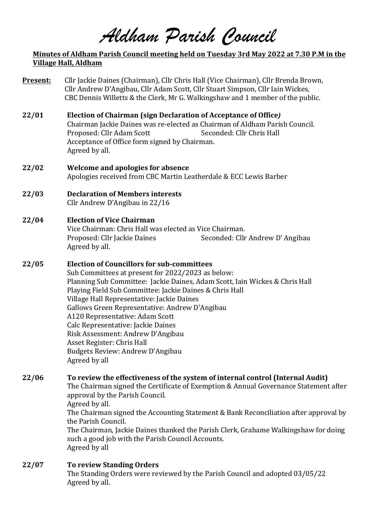*Aldham Parish Council*

### **Minutes of Aldham Parish Council meeting held on Tuesday 3rd May 2022 at 7.30 P.M in the Village Hall, Aldham**

- **Present:** Cllr Jackie Daines (Chairman), Cllr Chris Hall (Vice Chairman), Cllr Brenda Brown, Cllr Andrew D'Angibau, Cllr Adam Scott, Cllr Stuart Simpson, Cllr Iain Wickes, CBC Dennis Willetts & the Clerk, Mr G. Walkingshaw and 1 member of the public.
- **22/01 Election of Chairman (sign Declaration of Acceptance of Office)** Chairman Jackie Daines was re-elected as Chairman of Aldham Parish Council. Proposed: Cllr Adam Scott Seconded: Cllr Chris Hall Acceptance of Office form signed by Chairman. Agreed by all.
- **22/02 Welcome and apologies for absence** Apologies received from CBC Martin Leatherdale & ECC Lewis Barber
- **22/03 Declaration of Members interests** Cllr Andrew D'Angibau in 22/16

## **22/04 Election of Vice Chairman**

Vice Chairman: Chris Hall was elected as Vice Chairman. Proposed: Cllr Jackie Daines Seconded: Cllr Andrew D' Angibau Agreed by all.

### **22/05 Election of Councillors for sub-committees**

Sub Committees at present for 2022/2023 as below: Planning Sub Committee: Jackie Daines, Adam Scott, Iain Wickes & Chris Hall Playing Field Sub Committee: Jackie Daines & Chris Hall Village Hall Representative: Jackie Daines Gallows Green Representative: Andrew D'Angibau A120 Representative: Adam Scott Calc Representative: Jackie Daines Risk Assessment: Andrew D'Angibau Asset Register: Chris Hall Budgets Review: Andrew D'Angibau Agreed by all

## **22/06 To review the effectiveness of the system of internal control (Internal Audit)**

The Chairman signed the Certificate of Exemption & Annual Governance Statement after approval by the Parish Council.

Agreed by all.

The Chairman signed the Accounting Statement & Bank Reconciliation after approval by the Parish Council.

The Chairman, Jackie Daines thanked the Parish Clerk, Grahame Walkingshaw for doing such a good job with the Parish Council Accounts. Agreed by all

**22/07 To review Standing Orders** The Standing Orders were reviewed by the Parish Council and adopted 03/05/22 Agreed by all.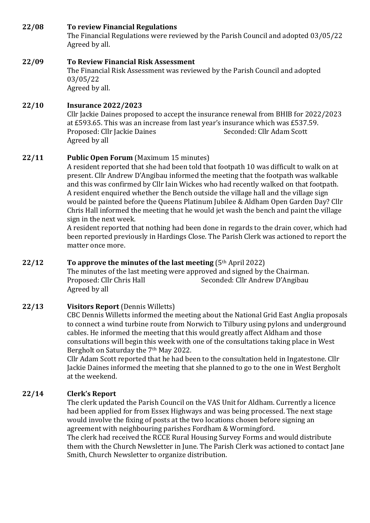## **22/08 To review Financial Regulations**

The Financial Regulations were reviewed by the Parish Council and adopted 03/05/22 Agreed by all.

#### **22/09 To Review Financial Risk Assessment** The Financial Risk Assessment was reviewed by the Parish Council and adopted 03/05/22 Agreed by all.

# **22/10 Insurance 2022/2023**

Cllr Jackie Daines proposed to accept the insurance renewal from BHIB for 2022/2023 at £593.65. This was an increase from last year's insurance which was £537.59. Proposed: Cllr Jackie Daines Seconded: Cllr Adam Scott Agreed by all

## **22/11** Public Open Forum (Maximum 15 minutes)

A resident reported that she had been told that footpath 10 was difficult to walk on at present. Cllr Andrew D'Angibau informed the meeting that the footpath was walkable and this was confirmed by Cllr Iain Wickes who had recently walked on that footpath. A resident enquired whether the Bench outside the village hall and the village sign would be painted before the Queens Platinum Jubilee & Aldham Open Garden Day? Cllr Chris Hall informed the meeting that he would jet wash the bench and paint the village sign in the next week.

A resident reported that nothing had been done in regards to the drain cover, which had been reported previously in Hardings Close. The Parish Clerk was actioned to report the matter once more.

## **22/12 To approve the minutes of the last meeting** (5<sup>th</sup> April 2022)

The minutes of the last meeting were approved and signed by the Chairman. Proposed: Cllr Chris Hall Seconded: Cllr Andrew D'Angibau Agreed by all

## **22/13 Visitors Report** (Dennis Willetts)

CBC Dennis Willetts informed the meeting about the National Grid East Anglia proposals to connect a wind turbine route from Norwich to Tilbury using pylons and underground cables. He informed the meeting that this would greatly affect Aldham and those consultations will begin this week with one of the consultations taking place in West Bergholt on Saturday the 7<sup>th</sup> May 2022.

Cllr Adam Scott reported that he had been to the consultation held in Ingatestone. Cllr Jackie Daines informed the meeting that she planned to go to the one in West Bergholt at the weekend.

## **22/14 Clerk's Report**

The clerk updated the Parish Council on the VAS Unit for Aldham. Currently a licence had been applied for from Essex Highways and was being processed. The next stage would involve the fixing of posts at the two locations chosen before signing an agreement with neighbouring parishes Fordham & Wormingford.

The clerk had received the RCCE Rural Housing Survey Forms and would distribute them with the Church Newsletter in June. The Parish Clerk was actioned to contact Jane Smith, Church Newsletter to organize distribution.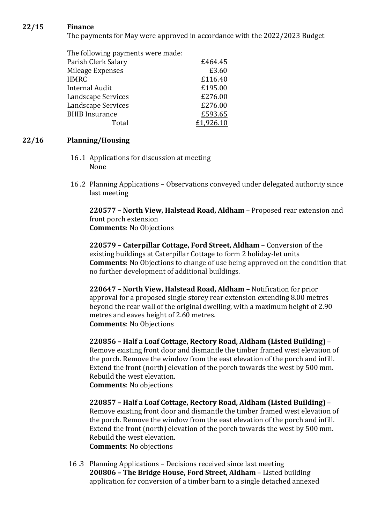### **22/15 Finance**

The payments for May were approved in accordance with the 2022/2023 Budget

The following payments were made: Parish Clerk Salary **E464.45** Mileage Expenses **E3.60** HMRC £116.40 Internal Audit **E195.00** Landscape Services **E276.00** Landscape Services **E276.00** BHIB Insurance E593.65 Total £1,926.10

### **22/16 Planning/Housing**

- 16 .1 Applications for discussion at meeting None
- 16.2 Planning Applications Observations conveyed under delegated authority since last meeting

**220577 - North View, Halstead Road, Aldham** - Proposed rear extension and front porch extension **Comments: No Objections** 

**220579 – Caterpillar Cottage, Ford Street, Aldham – Conversion of the** existing buildings at Caterpillar Cottage to form 2 holiday-let units **Comments:** No Objections to change of use being approved on the condition that no further development of additional buildings.

**220647** - North View, Halstead Road, Aldham - Notification for prior approval for a proposed single storey rear extension extending 8.00 metres beyond the rear wall of the original dwelling, with a maximum height of 2.90 metres and eaves height of 2.60 metres. **Comments: No Objections** 

**220856 – Half a Loaf Cottage, Rectory Road, Aldham (Listed Building)** – Remove existing front door and dismantle the timber framed west elevation of the porch. Remove the window from the east elevation of the porch and infill. Extend the front (north) elevation of the porch towards the west by 500 mm. Rebuild the west elevation. **Comments: No objections** 

**220857 – Half a Loaf Cottage, Rectory Road, Aldham (Listed Building)** – Remove existing front door and dismantle the timber framed west elevation of the porch. Remove the window from the east elevation of the porch and infill. Extend the front (north) elevation of the porch towards the west by 500 mm. Rebuild the west elevation. **Comments: No objections** 

16.3 Planning Applications – Decisions received since last meeting **200806 - The Bridge House, Ford Street, Aldham** - Listed building application for conversion of a timber barn to a single detached annexed